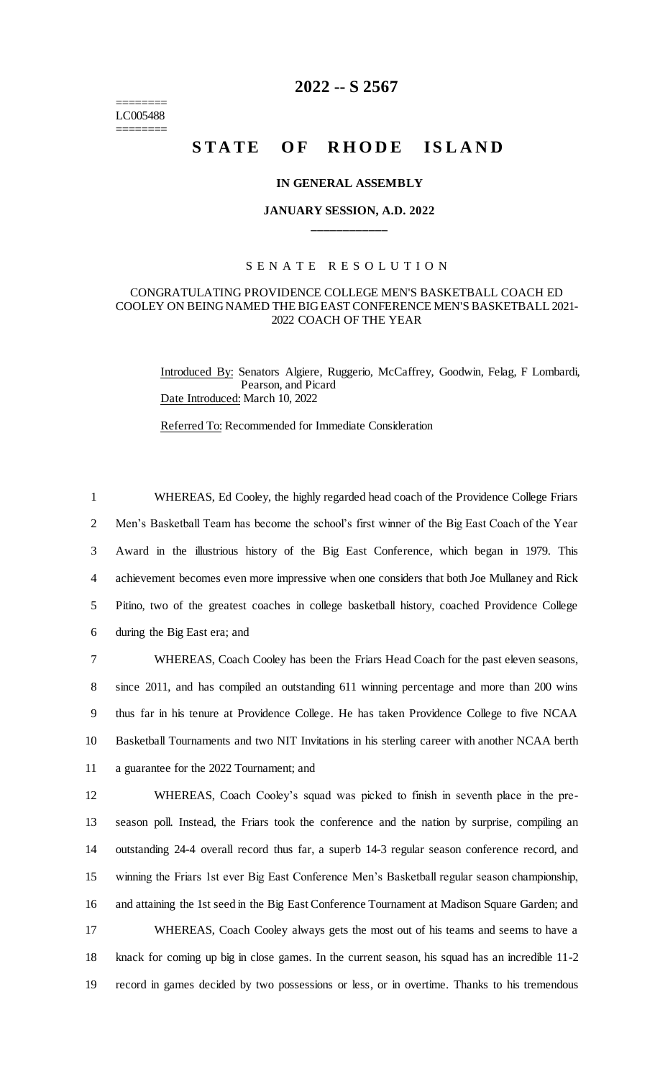======== LC005488 ========

## **2022 -- S 2567**

# **STATE OF RHODE ISLAND**

## **IN GENERAL ASSEMBLY**

## **JANUARY SESSION, A.D. 2022 \_\_\_\_\_\_\_\_\_\_\_\_**

## S E N A T E R E S O L U T I O N

## CONGRATULATING PROVIDENCE COLLEGE MEN'S BASKETBALL COACH ED COOLEY ON BEING NAMED THE BIG EAST CONFERENCE MEN'S BASKETBALL 2021- 2022 COACH OF THE YEAR

Introduced By: Senators Algiere, Ruggerio, McCaffrey, Goodwin, Felag, F Lombardi, Pearson, and Picard Date Introduced: March 10, 2022

Referred To: Recommended for Immediate Consideration

 WHEREAS, Ed Cooley, the highly regarded head coach of the Providence College Friars Men's Basketball Team has become the school's first winner of the Big East Coach of the Year Award in the illustrious history of the Big East Conference, which began in 1979. This achievement becomes even more impressive when one considers that both Joe Mullaney and Rick Pitino, two of the greatest coaches in college basketball history, coached Providence College during the Big East era; and

 WHEREAS, Coach Cooley has been the Friars Head Coach for the past eleven seasons, since 2011, and has compiled an outstanding 611 winning percentage and more than 200 wins thus far in his tenure at Providence College. He has taken Providence College to five NCAA Basketball Tournaments and two NIT Invitations in his sterling career with another NCAA berth a guarantee for the 2022 Tournament; and

 WHEREAS, Coach Cooley's squad was picked to finish in seventh place in the pre- season poll. Instead, the Friars took the conference and the nation by surprise, compiling an outstanding 24-4 overall record thus far, a superb 14-3 regular season conference record, and winning the Friars 1st ever Big East Conference Men's Basketball regular season championship, and attaining the 1st seed in the Big East Conference Tournament at Madison Square Garden; and WHEREAS, Coach Cooley always gets the most out of his teams and seems to have a knack for coming up big in close games. In the current season, his squad has an incredible 11-2 record in games decided by two possessions or less, or in overtime. Thanks to his tremendous